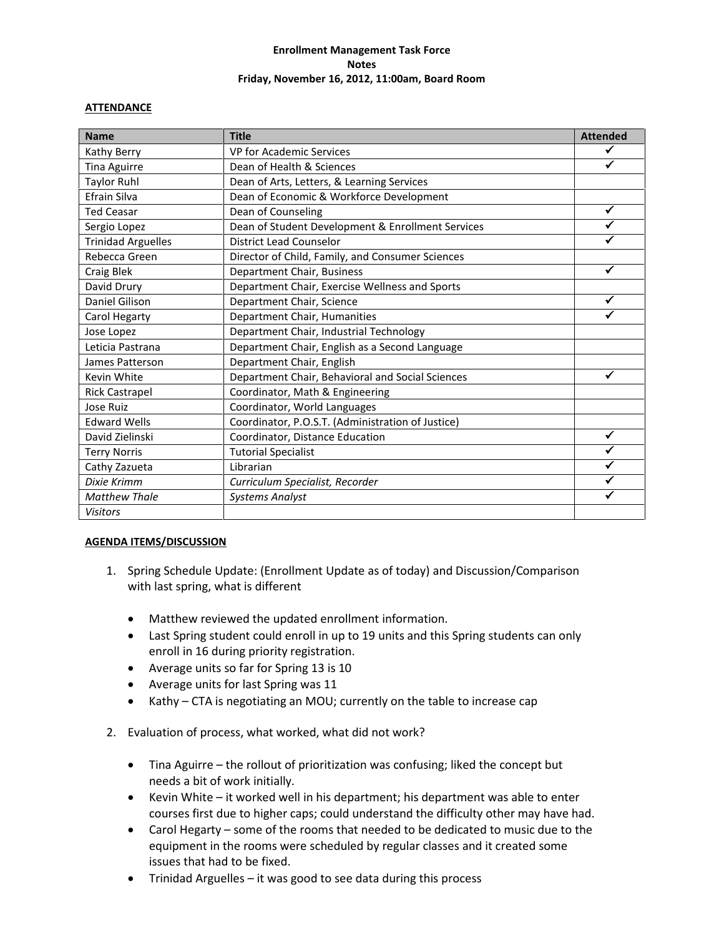## **Enrollment Management Task Force Notes Friday, November 16, 2012, 11:00am, Board Room**

## **ATTENDANCE**

| <b>Name</b>               | <b>Title</b>                                      | <b>Attended</b> |
|---------------------------|---------------------------------------------------|-----------------|
| Kathy Berry               | VP for Academic Services                          | ✔               |
| Tina Aguirre              | Dean of Health & Sciences                         |                 |
| <b>Taylor Ruhl</b>        | Dean of Arts, Letters, & Learning Services        |                 |
| Efrain Silva              | Dean of Economic & Workforce Development          |                 |
| <b>Ted Ceasar</b>         | Dean of Counseling                                | ✓               |
| Sergio Lopez              | Dean of Student Development & Enrollment Services |                 |
| <b>Trinidad Arguelles</b> | <b>District Lead Counselor</b>                    |                 |
| Rebecca Green             | Director of Child, Family, and Consumer Sciences  |                 |
| Craig Blek                | Department Chair, Business                        | ✓               |
| David Drury               | Department Chair, Exercise Wellness and Sports    |                 |
| Daniel Gilison            | Department Chair, Science                         | ✓               |
| Carol Hegarty             | Department Chair, Humanities                      |                 |
| Jose Lopez                | Department Chair, Industrial Technology           |                 |
| Leticia Pastrana          | Department Chair, English as a Second Language    |                 |
| James Patterson           | Department Chair, English                         |                 |
| Kevin White               | Department Chair, Behavioral and Social Sciences  | ✔               |
| <b>Rick Castrapel</b>     | Coordinator, Math & Engineering                   |                 |
| Jose Ruiz                 | Coordinator, World Languages                      |                 |
| <b>Edward Wells</b>       | Coordinator, P.O.S.T. (Administration of Justice) |                 |
| David Zielinski           | Coordinator, Distance Education                   | $\checkmark$    |
| <b>Terry Norris</b>       | <b>Tutorial Specialist</b>                        | ✓               |
| Cathy Zazueta             | Librarian                                         | ✓               |
| Dixie Krimm               | Curriculum Specialist, Recorder                   |                 |
| <b>Matthew Thale</b>      | <b>Systems Analyst</b>                            | $\checkmark$    |
| <b>Visitors</b>           |                                                   |                 |

## **AGENDA ITEMS/DISCUSSION**

- 1. Spring Schedule Update: (Enrollment Update as of today) and Discussion/Comparison with last spring, what is different
	- Matthew reviewed the updated enrollment information.
	- Last Spring student could enroll in up to 19 units and this Spring students can only enroll in 16 during priority registration.
	- Average units so far for Spring 13 is 10
	- Average units for last Spring was 11
	- Kathy CTA is negotiating an MOU; currently on the table to increase cap
- 2. Evaluation of process, what worked, what did not work?
	- Tina Aguirre the rollout of prioritization was confusing; liked the concept but needs a bit of work initially.
	- Kevin White it worked well in his department; his department was able to enter courses first due to higher caps; could understand the difficulty other may have had.
	- Carol Hegarty some of the rooms that needed to be dedicated to music due to the equipment in the rooms were scheduled by regular classes and it created some issues that had to be fixed.
	- Trinidad Arguelles it was good to see data during this process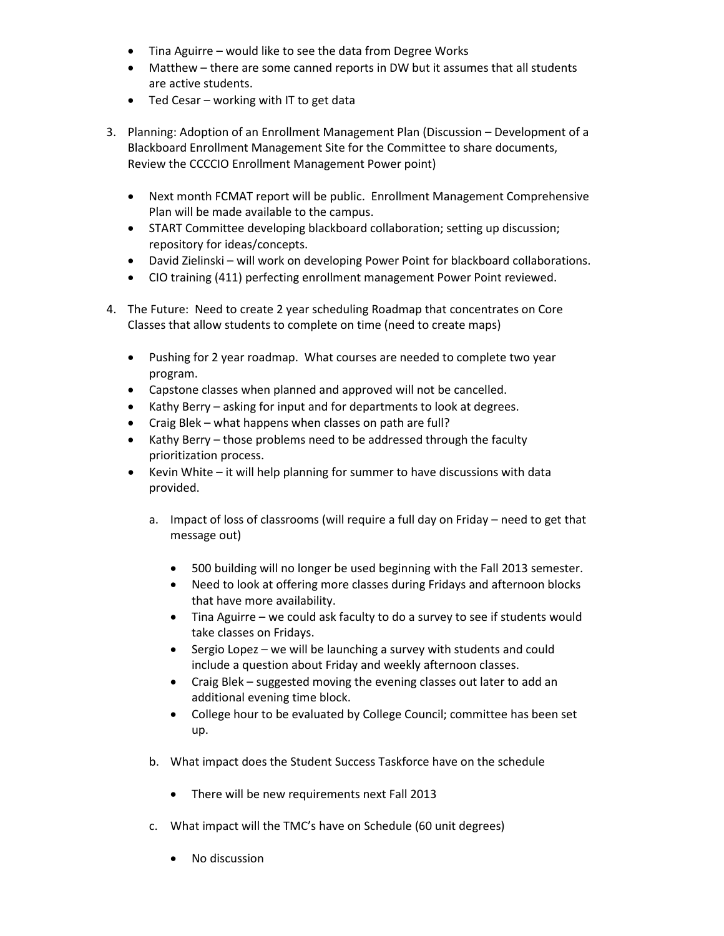- Tina Aguirre would like to see the data from Degree Works
- Matthew there are some canned reports in DW but it assumes that all students are active students.
- Ted Cesar working with IT to get data
- 3. Planning: Adoption of an Enrollment Management Plan (Discussion Development of a Blackboard Enrollment Management Site for the Committee to share documents, Review the CCCCIO Enrollment Management Power point)
	- Next month FCMAT report will be public. Enrollment Management Comprehensive Plan will be made available to the campus.
	- START Committee developing blackboard collaboration; setting up discussion; repository for ideas/concepts.
	- David Zielinski will work on developing Power Point for blackboard collaborations.
	- CIO training (411) perfecting enrollment management Power Point reviewed.
- 4. The Future: Need to create 2 year scheduling Roadmap that concentrates on Core Classes that allow students to complete on time (need to create maps)
	- Pushing for 2 year roadmap. What courses are needed to complete two year program.
	- Capstone classes when planned and approved will not be cancelled.
	- Kathy Berry asking for input and for departments to look at degrees.
	- Craig Blek what happens when classes on path are full?
	- Kathy Berry those problems need to be addressed through the faculty prioritization process.
	- Kevin White it will help planning for summer to have discussions with data provided.
		- a. Impact of loss of classrooms (will require a full day on Friday need to get that message out)
			- 500 building will no longer be used beginning with the Fall 2013 semester.
			- Need to look at offering more classes during Fridays and afternoon blocks that have more availability.
			- Tina Aguirre we could ask faculty to do a survey to see if students would take classes on Fridays.
			- Sergio Lopez we will be launching a survey with students and could include a question about Friday and weekly afternoon classes.
			- Craig Blek suggested moving the evening classes out later to add an additional evening time block.
			- College hour to be evaluated by College Council; committee has been set up.
		- b. What impact does the Student Success Taskforce have on the schedule
			- There will be new requirements next Fall 2013
		- c. What impact will the TMC's have on Schedule (60 unit degrees)
			- No discussion